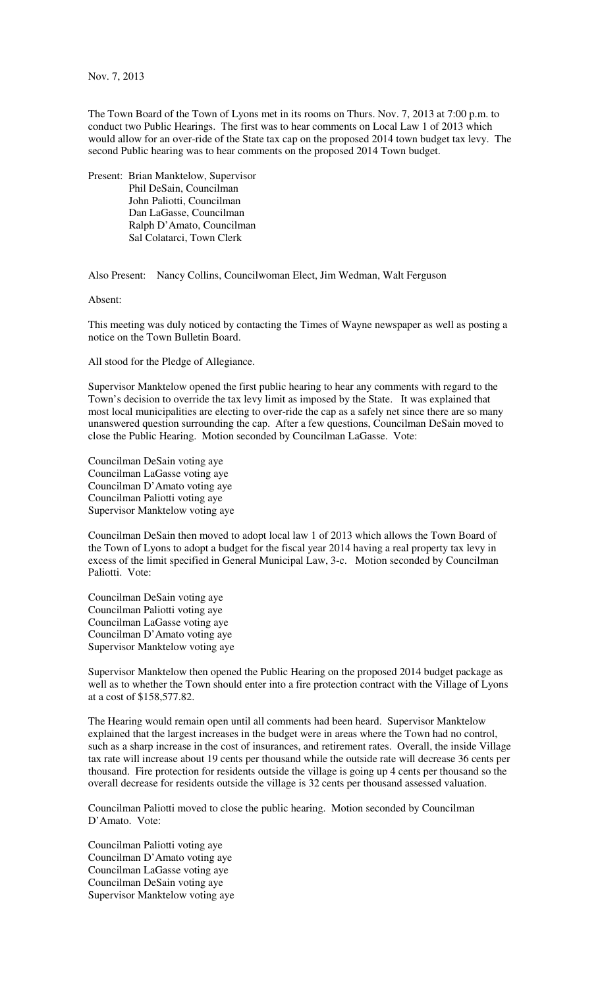Nov. 7, 2013

The Town Board of the Town of Lyons met in its rooms on Thurs. Nov. 7, 2013 at 7:00 p.m. to conduct two Public Hearings. The first was to hear comments on Local Law 1 of 2013 which would allow for an over-ride of the State tax cap on the proposed 2014 town budget tax levy. The second Public hearing was to hear comments on the proposed 2014 Town budget.

Present: Brian Manktelow, Supervisor Phil DeSain, Councilman John Paliotti, Councilman Dan LaGasse, Councilman Ralph D'Amato, Councilman Sal Colatarci, Town Clerk

Also Present: Nancy Collins, Councilwoman Elect, Jim Wedman, Walt Ferguson

Absent:

This meeting was duly noticed by contacting the Times of Wayne newspaper as well as posting a notice on the Town Bulletin Board.

All stood for the Pledge of Allegiance.

Supervisor Manktelow opened the first public hearing to hear any comments with regard to the Town's decision to override the tax levy limit as imposed by the State. It was explained that most local municipalities are electing to over-ride the cap as a safely net since there are so many unanswered question surrounding the cap. After a few questions, Councilman DeSain moved to close the Public Hearing. Motion seconded by Councilman LaGasse. Vote:

Councilman DeSain voting aye Councilman LaGasse voting aye Councilman D'Amato voting aye Councilman Paliotti voting aye Supervisor Manktelow voting aye

Councilman DeSain then moved to adopt local law 1 of 2013 which allows the Town Board of the Town of Lyons to adopt a budget for the fiscal year 2014 having a real property tax levy in excess of the limit specified in General Municipal Law, 3-c. Motion seconded by Councilman Paliotti. Vote:

Councilman DeSain voting aye Councilman Paliotti voting aye Councilman LaGasse voting aye Councilman D'Amato voting aye Supervisor Manktelow voting aye

Supervisor Manktelow then opened the Public Hearing on the proposed 2014 budget package as well as to whether the Town should enter into a fire protection contract with the Village of Lyons at a cost of \$158,577.82.

The Hearing would remain open until all comments had been heard. Supervisor Manktelow explained that the largest increases in the budget were in areas where the Town had no control, such as a sharp increase in the cost of insurances, and retirement rates. Overall, the inside Village tax rate will increase about 19 cents per thousand while the outside rate will decrease 36 cents per thousand. Fire protection for residents outside the village is going up 4 cents per thousand so the overall decrease for residents outside the village is 32 cents per thousand assessed valuation.

Councilman Paliotti moved to close the public hearing. Motion seconded by Councilman D'Amato. Vote:

Councilman Paliotti voting aye Councilman D'Amato voting aye Councilman LaGasse voting aye Councilman DeSain voting aye Supervisor Manktelow voting aye